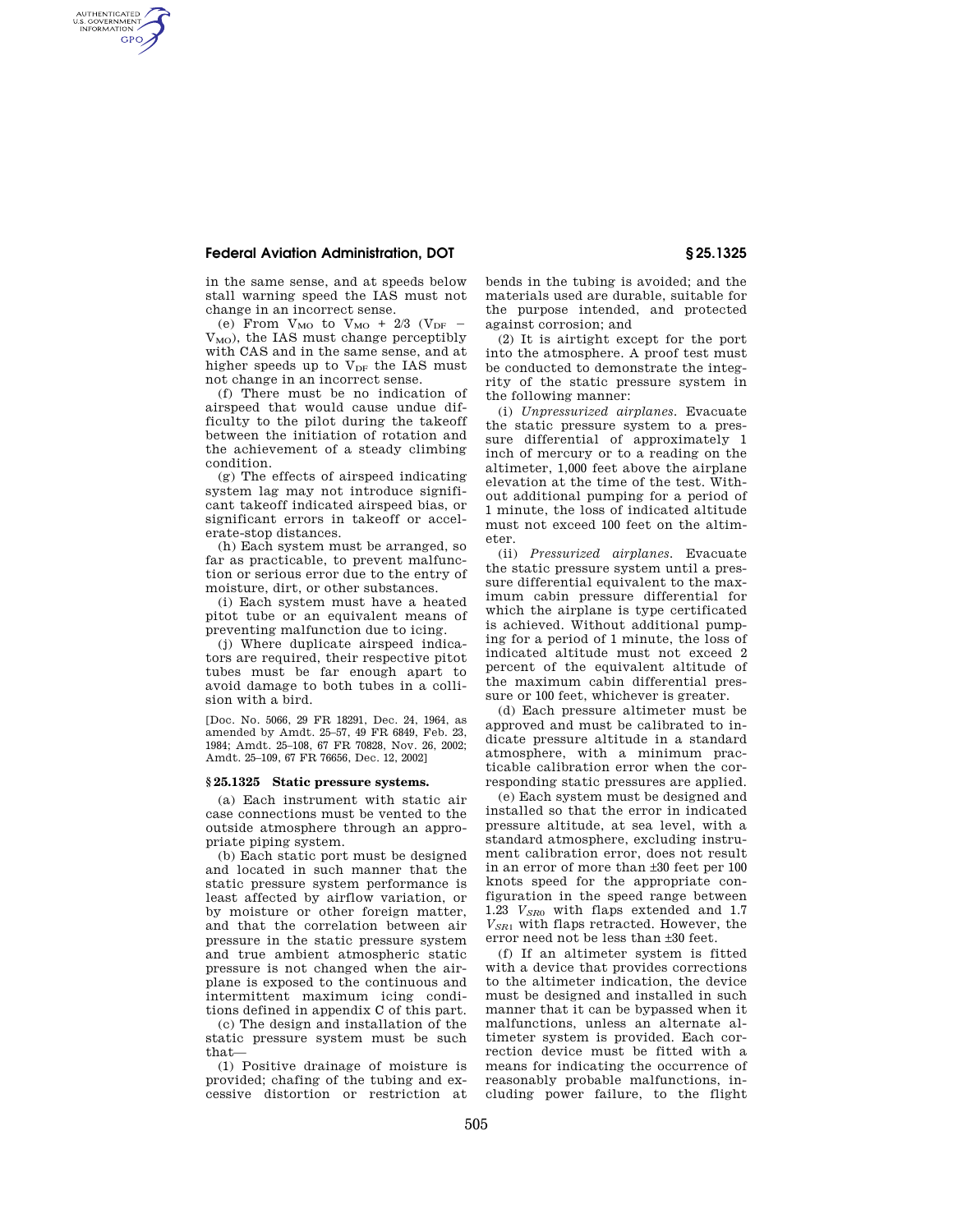## **Federal Aviation Administration, DOT § 25.1325**

AUTHENTICATED<br>U.S. GOVERNMENT<br>INFORMATION **GPO** 

> in the same sense, and at speeds below stall warning speed the IAS must not change in an incorrect sense.

> (e) From  $V_{MO}$  to  $V_{MO}$  + 2/3 ( $V_{DF}$  –  $V_{MO}$ ), the IAS must change perceptibly with CAS and in the same sense, and at higher speeds up to  $V_{DF}$  the IAS must not change in an incorrect sense.

> (f) There must be no indication of airspeed that would cause undue difficulty to the pilot during the takeoff between the initiation of rotation and the achievement of a steady climbing condition.

> (g) The effects of airspeed indicating system lag may not introduce significant takeoff indicated airspeed bias, or significant errors in takeoff or accelerate-stop distances.

> (h) Each system must be arranged, so far as practicable, to prevent malfunction or serious error due to the entry of moisture, dirt, or other substances.

> (i) Each system must have a heated pitot tube or an equivalent means of preventing malfunction due to icing.

> (j) Where duplicate airspeed indicators are required, their respective pitot tubes must be far enough apart to avoid damage to both tubes in a collision with a bird.

> [Doc. No. 5066, 29 FR 18291, Dec. 24, 1964, as amended by Amdt. 25–57, 49 FR 6849, Feb. 23, 1984; Amdt. 25–108, 67 FR 70828, Nov. 26, 2002; Amdt. 25–109, 67 FR 76656, Dec. 12, 2002]

## **§ 25.1325 Static pressure systems.**

(a) Each instrument with static air case connections must be vented to the outside atmosphere through an appropriate piping system.

(b) Each static port must be designed and located in such manner that the static pressure system performance is least affected by airflow variation, or by moisture or other foreign matter, and that the correlation between air pressure in the static pressure system and true ambient atmospheric static pressure is not changed when the airplane is exposed to the continuous and intermittent maximum icing conditions defined in appendix C of this part.

(c) The design and installation of the static pressure system must be such that—

(1) Positive drainage of moisture is provided; chafing of the tubing and excessive distortion or restriction at bends in the tubing is avoided; and the materials used are durable, suitable for the purpose intended, and protected against corrosion; and

(2) It is airtight except for the port into the atmosphere. A proof test must be conducted to demonstrate the integrity of the static pressure system in the following manner:

(i) *Unpressurized airplanes.* Evacuate the static pressure system to a pressure differential of approximately 1 inch of mercury or to a reading on the altimeter, 1,000 feet above the airplane elevation at the time of the test. Without additional pumping for a period of 1 minute, the loss of indicated altitude must not exceed 100 feet on the altimeter.

(ii) *Pressurized airplanes.* Evacuate the static pressure system until a pressure differential equivalent to the maximum cabin pressure differential for which the airplane is type certificated is achieved. Without additional pumping for a period of 1 minute, the loss of indicated altitude must not exceed 2 percent of the equivalent altitude of the maximum cabin differential pressure or 100 feet, whichever is greater.

(d) Each pressure altimeter must be approved and must be calibrated to indicate pressure altitude in a standard atmosphere, with a minimum practicable calibration error when the corresponding static pressures are applied.

(e) Each system must be designed and installed so that the error in indicated pressure altitude, at sea level, with a standard atmosphere, excluding instrument calibration error, does not result in an error of more than ±30 feet per 100 knots speed for the appropriate configuration in the speed range between 1.23 *VSR*<sup>0</sup> with flaps extended and 1.7 *VSR*<sup>1</sup> with flaps retracted. However, the error need not be less than ±30 feet.

(f) If an altimeter system is fitted with a device that provides corrections to the altimeter indication, the device must be designed and installed in such manner that it can be bypassed when it malfunctions, unless an alternate altimeter system is provided. Each correction device must be fitted with a means for indicating the occurrence of reasonably probable malfunctions, including power failure, to the flight